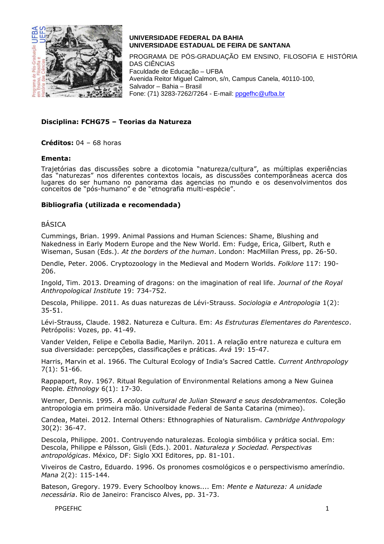

PROGRAMA DE PÓS-GRADUAÇÃO EM ENSINO, FILOSOFIA E HISTÓRIA DAS CIÊNCIAS Faculdade de Educação – UFBA Avenida Reitor Miguel Calmon, s/n, Campus Canela, 40110-100, Salvador – Bahia – Brasil Fone: (71) 3283-7262/7264 - E-mail: [ppgefhc@ufba.br](mailto:ppgefhc@ufba.br)

### **Disciplina: FCHG75 – Teorias da Natureza**

**Créditos:** 04 – 68 horas

#### **Ementa:**

Trajetórias das discussões sobre a dicotomia "natureza/cultura", as múltiplas experiências das "naturezas" nos diferentes contextos locais, as discussões contemporâneas acerca dos lugares do ser humano no panorama das agencias no mundo e os desenvolvimentos dos conceitos de "pós-humano" e de "etnografia multi-espécie".

#### **Bibliografia (utilizada e recomendada)**

#### BÁSICA

Cummings, Brian. 1999. Animal Passions and Human Sciences: Shame, Blushing and Nakedness in Early Modern Europe and the New World. Em: Fudge, Erica, Gilbert, Ruth e Wiseman, Susan (Eds.). *At the borders of the human*. London: MacMillan Press, pp. 26-50.

Dendle, Peter. 2006. Cryptozoology in the Medieval and Modern Worlds. *Folklore* 117: 190- 206.

Ingold, Tim. 2013. Dreaming of dragons: on the imagination of real life. *Journal of the Royal Anthropological Institute* 19: 734-752.

Descola, Philippe. 2011. As duas naturezas de Lévi-Strauss. *Sociologia e Antropologia* 1(2): 35-51.

Lévi-Strauss, Claude. 1982. Natureza e Cultura. Em: *As Estruturas Elementares do Parentesco*. Petrópolis: Vozes, pp. 41-49.

Vander Velden, Felipe e Cebolla Badie, Marilyn. 2011. A relação entre natureza e cultura em sua diversidade: percepções, classificações e práticas. *Avá* 19: 15-47.

Harris, Marvin et al. 1966. The Cultural Ecology of India's Sacred Cattle. *Current Anthropology* 7(1): 51-66.

Rappaport, Roy. 1967. Ritual Regulation of Environmental Relations among a New Guinea People. *Ethnology* 6(1): 17-30.

Werner, Dennis. 1995. *A ecologia cultural de Julian Steward e seus desdobramentos.* Coleção antropologia em primeira mão. Universidade Federal de Santa Catarina (mimeo).

Candea, Matei. 2012. Internal Others: Ethnographies of Naturalism. *Cambridge Anthropology* 30(2): 36-47.

Descola, Philippe. 2001. Contruyendo naturalezas. Ecologia simbólica y prática social. Em: Descola, Philippe e Pálsson, Gisli (Eds.). 2001. *Naturaleza y Sociedad. Perspectivas antropológicas*. México, DF: Siglo XXI Editores, pp. 81-101.

Viveiros de Castro, Eduardo. 1996. Os pronomes cosmológicos e o perspectivismo ameríndio. *Mana* 2(2): 115-144.

Bateson, Gregory. 1979. Every Schoolboy knows.... Em: *Mente e Natureza: A unidade necessária*. Rio de Janeiro: Francisco Alves, pp. 31-73.

PPGEFHC 1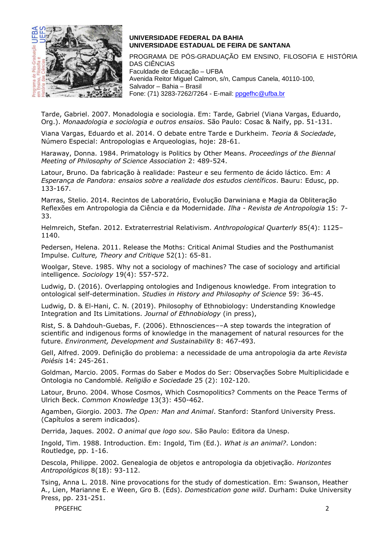

PROGRAMA DE PÓS-GRADUAÇÃO EM ENSINO, FILOSOFIA E HISTÓRIA DAS CIÊNCIAS Faculdade de Educação – UFBA Avenida Reitor Miguel Calmon, s/n, Campus Canela, 40110-100, Salvador – Bahia – Brasil Fone: (71) 3283-7262/7264 - E-mail: [ppgefhc@ufba.br](mailto:ppgefhc@ufba.br)

Tarde, Gabriel. 2007. Monadologia e sociologia. Em: Tarde, Gabriel (Viana Vargas, Eduardo, Org.). *Monaadologia e sociologia e outros ensaios*. São Paulo: Cosac & Naify, pp. 51-131.

Viana Vargas, Eduardo et al. 2014. O debate entre Tarde e Durkheim. *Teoria & Sociedade*, Número Especial: Antropologias e Arqueologias, hoje: 28-61.

Haraway, Donna. 1984. Primatology is Politics by Other Means. *Proceedings of the Biennal Meeting of Philosophy of Science Association* 2: 489-524.

Latour, Bruno. Da fabricação à realidade: Pasteur e seu fermento de ácido láctico. Em: *A Esperança de Pandora: ensaios sobre a realidade dos estudos científicos*. Bauru: Edusc, pp. 133-167.

Marras, Stelio. 2014. Recintos de Laboratório, Evolução Darwiniana e Magia da Obliteração Reflexões em Antropologia da Ciência e da Modernidade. *Ilha - Revista de Antropologia* 15: 7- 33.

Helmreich, Stefan. 2012. Extraterrestrial Relativism. *Anthropological Quarterly* 85(4): 1125– 1140.

Pedersen, Helena. 2011. Release the Moths: Critical Animal Studies and the Posthumanist Impulse. *Culture, Theory and Critique* 52(1): 65-81.

Woolgar, Steve. 1985. Why not a sociology of machines? The case of sociology and artificial intelligence. *Sociology* 19(4): 557-572.

Ludwig, D. (2016). Overlapping ontologies and Indigenous knowledge. From integration to ontological self-determination. *Studies in History and Philosophy of Science* 59: 36-45.

Ludwig, D. & El-Hani, C. N. (2019). Philosophy of Ethnobiology: Understanding Knowledge Integration and Its Limitations. *Journal of Ethnobiology* (in press),

Rist, S. & Dahdouh-Guebas, F. (2006). Ethnosciences––A step towards the integration of scientific and indigenous forms of knowledge in the management of natural resources for the future. *Environment, Development and Sustainability* 8: 467-493.

Gell, Alfred. 2009. Definição do problema: a necessidade de uma antropologia da arte *Revista Poiésis* 14: 245-261.

Goldman, Marcio. 2005. Formas do Saber e Modos do Ser: Observações Sobre Multiplicidade e Ontologia no Candomblé. *Religião e Sociedade* 25 (2): 102-120.

Latour, Bruno. 2004. Whose Cosmos, Which Cosmopolitics? Comments on the Peace Terms of Ulrich Beck. *Common Knowledge* 13(3): 450-462.

Agamben, Giorgio. 2003. *The Open: Man and Animal*. Stanford: Stanford University Press. (Capítulos a serem indicados).

Derrida, Jaques. 2002. *O animal que logo sou*. São Paulo: Editora da Unesp.

Ingold, Tim. 1988. Introduction. Em: Ingold, Tim (Ed.). *What is an animal?*. London: Routledge, pp. 1-16.

Descola, Philippe. 2002. Genealogia de objetos e antropologia da objetivação. *Horizontes Antropológicos* 8(18): 93-112.

Tsing, Anna L. 2018. Nine provocations for the study of domestication. Em: Swanson, Heather A., Lien, Marianne E. e Ween, Gro B. (Eds). *Domestication gone wild*. Durham: Duke University Press, pp. 231-251.

PPGEFHC 2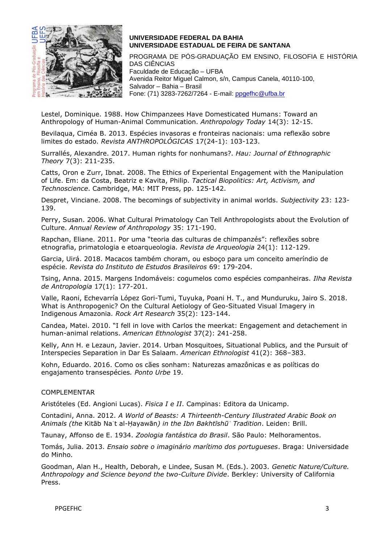

PROGRAMA DE PÓS-GRADUAÇÃO EM ENSINO, FILOSOFIA E HISTÓRIA DAS CIÊNCIAS Faculdade de Educação – UFBA Avenida Reitor Miguel Calmon, s/n, Campus Canela, 40110-100, Salvador – Bahia – Brasil Fone: (71) 3283-7262/7264 - E-mail: [ppgefhc@ufba.br](mailto:ppgefhc@ufba.br)

Lestel, Dominique. 1988. How Chimpanzees Have Domesticated Humans: Toward an Anthropology of Human-Animal Communication. *Anthropology Today* 14(3): 12-15.

Bevilaqua, Ciméa B. 2013. Espécies invasoras e fronteiras nacionais: uma reflexão sobre limites do estado. *Revista ANTHROPOLÓGICAS* 17(24-1): 103-123.

Surrallés, Alexandre. 2017. Human rights for nonhumans?. *Hau: Journal of Ethnographic Theory* 7(3): 211-235.

Catts, Oron e Zurr, Ibnat. 2008. The Ethics of Experiental Engagement with the Manipulation of Life. Em: da Costa, Beatriz e Kavita, Philip. *Tactical Biopolitics: Art, Activism, and Technoscience*. Cambridge, MA: MIT Press, pp. 125-142.

Despret, Vinciane. 2008. The becomings of subjectivity in animal worlds. *Subjectivity* 23: 123- 139.

Perry, Susan. 2006. What Cultural Primatology Can Tell Anthropologists about the Evolution of Culture. *Annual Review of Anthropology* 35: 171-190.

Rapchan, Eliane. 2011. Por uma "teoria das culturas de chimpanzés": reflexões sobre etnografia, primatologia e etoarqueologia. *Revista de Arqueologia* 24(1): 112-129.

Garcia, Uirá. 2018. Macacos também choram, ou esboço para um conceito ameríndio de espécie. *Revista do Instituto de Estudos Brasileiros* 69: 179-204.

Tsing, Anna. 2015. Margens Indomáveis: cogumelos como espécies companheiras. *Ilha Revista de Antropologia* 17(1): 177-201.

Valle, Raoni, Echevarría López Gori-Tumi, Tuyuka, Poani H. T., and Munduruku, Jairo S. 2018. What is Anthropogenic? On the Cultural Aetiology of Geo-Situated Visual Imagery in Indigenous Amazonia. *Rock Art Research* 35(2): 123-144.

Candea, Matei. 2010. "I fell in love with Carlos the meerkat: Engagement and detachement in human-animal relations. *American Ethnologist* 37(2): 241-258.

Kelly, Ann H. e Lezaun, Javier. 2014. Urban Mosquitoes, Situational Publics, and the Pursuit of Interspecies Separation in Dar Es Salaam. *American Ethnologist* 41(2): 368–383.

Kohn, Eduardo. 2016. Como os cães sonham: Naturezas amazônicas e as políticas do engajamento transespécies*. Ponto Urbe* 19.

#### COMPLEMENTAR

Aristóteles (Ed. Angioni Lucas). *Fisica I e II*. Campinas: Editora da Unicamp.

Contadini, Anna. 2012. *A World of Beasts: A Thirteenth-Century Illustrated Arabic Book on Animals (the* Kitāb Naʿt al-Ḥayawān*) in the Ibn Bakhtīshūʿ Tradition*. Leiden: Brill.

Taunay, Affonso de E. 1934. *Zoologia fantástica do Brasil*. São Paulo: Melhoramentos.

Tomás, Julia. 2013. *Ensaio sobre o imaginário marítimo dos portugueses*. Braga: Universidade do Minho.

Goodman, Alan H., Health, Deborah, e Lindee, Susan M. (Eds.). 2003. *Genetic Nature/Culture. Anthropology and Science beyond the two-Culture Divide*. Berkley: University of California Press.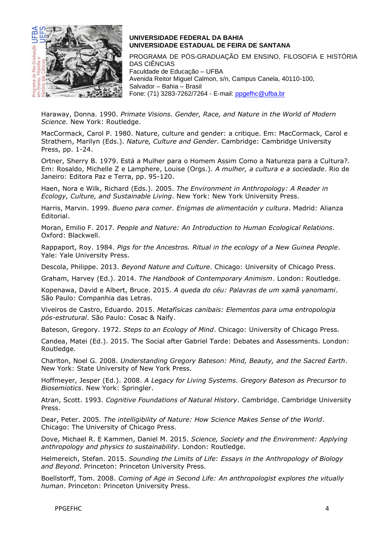

PROGRAMA DE PÓS-GRADUAÇÃO EM ENSINO, FILOSOFIA E HISTÓRIA DAS CIÊNCIAS Faculdade de Educação – UFBA Avenida Reitor Miguel Calmon, s/n, Campus Canela, 40110-100, Salvador – Bahia – Brasil Fone: (71) 3283-7262/7264 - E-mail: [ppgefhc@ufba.br](mailto:ppgefhc@ufba.br)

Haraway, Donna. 1990. *Primate Visions. Gender, Race, and Nature in the World of Modern Science*. New York: Routledge.

MacCormack, Carol P. 1980. Nature, culture and gender: a critique. Em: MacCormack, Carol e Strathern, Marilyn (Eds.). *Nature, Culture and Gender*. Cambridge: Cambridge University Press, pp. 1-24.

Ortner, Sherry B. 1979. Está a Mulher para o Homem Assim Como a Natureza para a Cultura?. Em: Rosaldo, Michelle Z e Lamphere, Louise (Orgs.). *A mulher, a cultura e a sociedade*. Rio de Janeiro: Editora Paz e Terra, pp. 95-120.

Haen, Nora e Wilk, Richard (Eds.). 2005. *The Environment in Anthropology: A Reader in Ecology, Culture, and Sustainable Living*. New York: New York University Press.

Harris, Marvin. 1999. *Bueno para comer. Enigmas de alimentación y cultura*. Madrid: Alianza Editorial.

Moran, Emilio F. 2017. *People and Nature: An Introduction to Human Ecological Relations*. Oxford: Blackwell.

Rappaport, Roy. 1984. *Pigs for the Ancestros. Ritual in the ecology of a New Guinea People*. Yale: Yale University Press.

Descola, Philippe. 2013. *Beyond Nature and Culture*. Chicago: University of Chicago Press.

Graham, Harvey (Ed.). 2014. *The Handbook of Contemporary Animism*. London: Routledge.

Kopenawa, David e Albert, Bruce. 2015. *A queda do céu: Palavras de um xamã yanomami*. São Paulo: Companhia das Letras.

Viveiros de Castro, Eduardo. 2015. *Metafísicas canibais: Elementos para uma entropologia pós-estrutural*. São Paulo: Cosac & Naify.

Bateson, Gregory. 1972. *Steps to an Ecology of Mind*. Chicago: University of Chicago Press.

Candea, Matei (Ed.). 2015. The Social after Gabriel Tarde: Debates and Assessments. London: Routledge.

Charlton, Noel G. 2008. *Understanding Gregory Bateson: Mind, Beauty, and the Sacred Earth*. New York: State University of New York Press.

Hoffmeyer, Jesper (Ed.). 2008. *A Legacy for Living Systems. Gregory Bateson as Precursor to Biosemiotics*. New York: Springler.

Atran, Scott. 1993. *Cognitive Foundations of Natural History*. Cambridge. Cambridge University Press.

Dear, Peter. 2005. *The intelligibility of Nature: How Science Makes Sense of the World*. Chicago: The University of Chicago Press.

Dove, Michael R. E Kammen, Daniel M. 2015. *Science, Society and the Environment: Applying anthropology and physics to sustainability*. London: Routledge.

Helmereich, Stefan. 2015. *Sounding the Limits of Life*: *Essays in the Anthropology of Biology and Beyond*. Princeton: Princeton University Press.

Boellstorff, Tom. 2008. *Coming of Age in Second Life: An anthropologist explores the vitually human*. Princeton: Princeton University Press.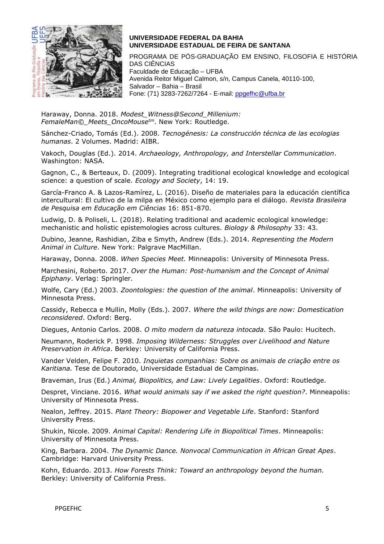

PROGRAMA DE PÓS-GRADUAÇÃO EM ENSINO, FILOSOFIA E HISTÓRIA DAS CIÊNCIAS Faculdade de Educação – UFBA Avenida Reitor Miguel Calmon, s/n, Campus Canela, 40110-100, Salvador – Bahia – Brasil Fone: (71) 3283-7262/7264 - E-mail: [ppgefhc@ufba.br](mailto:ppgefhc@ufba.br)

Haraway, Donna. 2018. *Modest\_Witness@Second\_Millenium: FemaleMan©\_Meets\_OncoMousetm*. New York: Routledge.

Sánchez-Criado, Tomás (Ed.). 2008. *Tecnogénesis: La construcción técnica de las ecologias humanas*. 2 Volumes. Madrid: AIBR.

Vakoch, Douglas (Ed.). 2014. *Archaeology, Anthropology, and Interstellar Communication*. Washington: NASA.

Gagnon, C., & Berteaux, D. (2009). Integrating traditional ecological knowledge and ecological science: a question of scale. *Ecology and Society*, 14: 19.

García-Franco A. & Lazos-Ramírez, L. (2016). Diseño de materiales para la educación científica intercultural: El cultivo de la milpa en México como ejemplo para el diálogo. *Revista Brasileira de Pesquisa em Educação em Ciências* 16: 851-870.

Ludwig, D. & Poliseli, L. (2018). Relating traditional and academic ecological knowledge: mechanistic and holistic epistemologies across cultures. *Biology & Philosophy* 33: 43.

Dubino, Jeanne, Rashidian, Ziba e Smyth, Andrew (Eds.). 2014. *Representing the Modern Animal in Culture*. New York: Palgrave MacMillan.

Haraway, Donna. 2008. *When Species Meet.* Minneapolis: University of Minnesota Press.

Marchesini, Roberto. 2017. *Over the Human: Post-humanism and the Concept of Animal Epiphany*. Verlag: Springler.

Wolfe, Cary (Ed.) 2003. *Zoontologies: the question of the animal*. Minneapolis: University of Minnesota Press.

Cassidy, Rebecca e Mullin, Molly (Eds.). 2007. *Where the wild things are now: Domestication reconsidered*. Oxford: Berg.

Diegues, Antonio Carlos. 2008. *O mito modern da natureza intocada.* São Paulo: Hucitech.

Neumann, Roderick P. 1998. *Imposing Wilderness: Struggles over Livelihood and Nature Preservation in Africa*. Berkley: University of California Press.

Vander Velden, Felipe F. 2010. *Inquietas companhias: Sobre os animais de criação entre os Karitiana.* Tese de Doutorado, Universidade Estadual de Campinas.

Braveman, Irus (Ed.) *Animal, Biopolitics, and Law: Lively Legalities*. Oxford: Routledge.

Despret, Vinciane. 2016. *What would animals say if we asked the right question?*. Minneapolis: University of Minnesota Press.

Nealon, Jeffrey. 2015. *Plant Theory: Biopower and Vegetable Life*. Stanford: Stanford University Press.

Shukin, Nicole. 2009. *Animal Capital: Rendering Life in Biopolitical Times*. Minneapolis: University of Minnesota Press.

King, Barbara. 2004. *The Dynamic Dance. Nonvocal Communication in African Great Apes*. Cambridge: Harvard University Press.

Kohn, Eduardo. 2013. *How Forests Think: Toward an anthropology beyond the human.* Berkley: University of California Press.